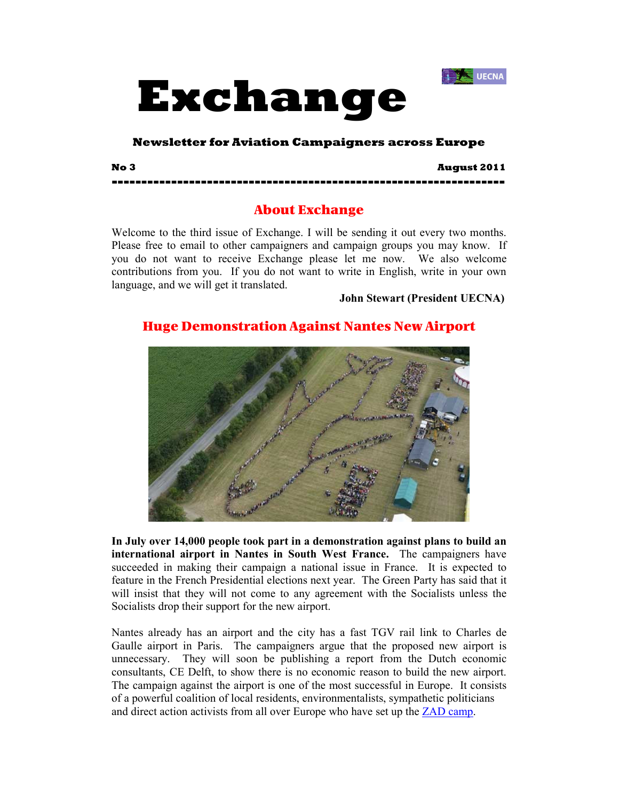



### **Newsletter for Aviation Campaigners across Europe**

**No 3 August 2011 ------------------------------------------------------------------** 

## About Exchange

Welcome to the third issue of Exchange. I will be sending it out every two months. Please free to email to other campaigners and campaign groups you may know. If you do not want to receive Exchange please let me now. We also welcome contributions from you. If you do not want to write in English, write in your own language, and we will get it translated.

**John Stewart (President UECNA)**

## Huge Demonstration Against Nantes New Airport



**In July over 14,000 people took part in a demonstration against plans to build an international airport in Nantes in South West France.** The campaigners have succeeded in making their campaign a national issue in France. It is expected to feature in the French Presidential elections next year. The Green Party has said that it will insist that they will not come to any agreement with the Socialists unless the Socialists drop their support for the new airport.

Nantes already has an airport and the city has a fast TGV rail link to Charles de Gaulle airport in Paris. The campaigners argue that the proposed new airport is unnecessary. They will soon be publishing a report from the Dutch economic consultants, CE Delft, to show there is no economic reason to build the new airport. The campaign against the airport is one of the most successful in Europe. It consists of a powerful coalition of local residents, environmentalists, sympathetic politicians and direct action activists from all over Europe who have set up the **ZAD** camp.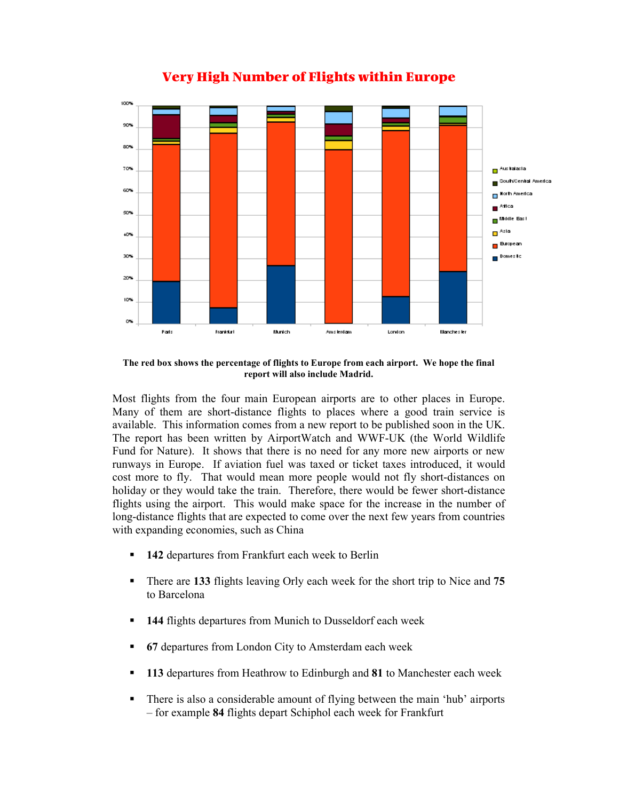

# Very High Number of Flights within Europe

**The red box shows the percentage of flights to Europe from each airport. We hope the final report will also include Madrid.** 

Most flights from the four main European airports are to other places in Europe. Many of them are short-distance flights to places where a good train service is available. This information comes from a new report to be published soon in the UK. The report has been written by AirportWatch and WWF-UK (the World Wildlife Fund for Nature). It shows that there is no need for any more new airports or new runways in Europe. If aviation fuel was taxed or ticket taxes introduced, it would cost more to fly. That would mean more people would not fly short-distances on holiday or they would take the train. Therefore, there would be fewer short-distance flights using the airport. This would make space for the increase in the number of long-distance flights that are expected to come over the next few years from countries with expanding economies, such as China

- **142** departures from Frankfurt each week to Berlin
- There are **133** flights leaving Orly each week for the short trip to Nice and **75** to Barcelona
- **144** flights departures from Munich to Dusseldorf each week
- **67** departures from London City to Amsterdam each week
- **113** departures from Heathrow to Edinburgh and **81** to Manchester each week
- There is also a considerable amount of flying between the main 'hub' airports – for example **84** flights depart Schiphol each week for Frankfurt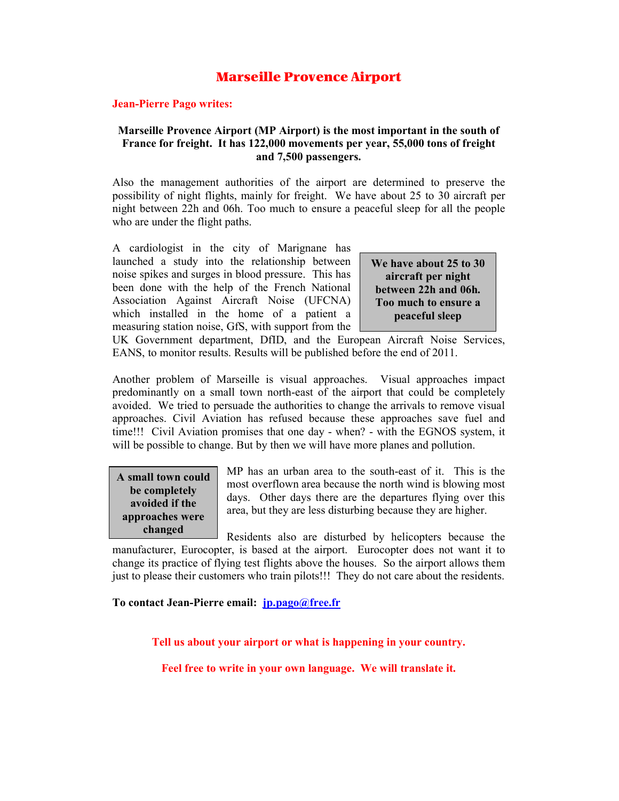## Marseille Provence Airport

#### **Jean-Pierre Pago writes:**

### **Marseille Provence Airport (MP Airport) is the most important in the south of France for freight. It has 122,000 movements per year, 55,000 tons of freight and 7,500 passengers.**

Also the management authorities of the airport are determined to preserve the possibility of night flights, mainly for freight. We have about 25 to 30 aircraft per night between 22h and 06h. Too much to ensure a peaceful sleep for all the people who are under the flight paths.

A cardiologist in the city of Marignane has launched a study into the relationship between noise spikes and surges in blood pressure. This has been done with the help of the French National Association Against Aircraft Noise (UFCNA) which installed in the home of a patient a measuring station noise, GfS, with support from the

**We have about 25 to 30 aircraft per night between 22h and 06h. Too much to ensure a peaceful sleep** 

UK Government department, DfID, and the European Aircraft Noise Services, EANS, to monitor results. Results will be published before the end of 2011.

Another problem of Marseille is visual approaches. Visual approaches impact predominantly on a small town north-east of the airport that could be completely avoided. We tried to persuade the authorities to change the arrivals to remove visual approaches. Civil Aviation has refused because these approaches save fuel and time!!! Civil Aviation promises that one day - when? - with the EGNOS system, it will be possible to change. But by then we will have more planes and pollution.

**A small town could be completely avoided if the approaches were changed**

MP has an urban area to the south-east of it. This is the most overflown area because the north wind is blowing most days. Other days there are the departures flying over this area, but they are less disturbing because they are higher.

Residents also are disturbed by helicopters because the manufacturer, Eurocopter, is based at the airport. Eurocopter does not want it to change its practice of flying test flights above the houses. So the airport allows them just to please their customers who train pilots!!! They do not care about the residents.

### **To contact Jean-Pierre email: jp.pago@free.fr**

**Tell us about your airport or what is happening in your country.** 

**Feel free to write in your own language. We will translate it.**